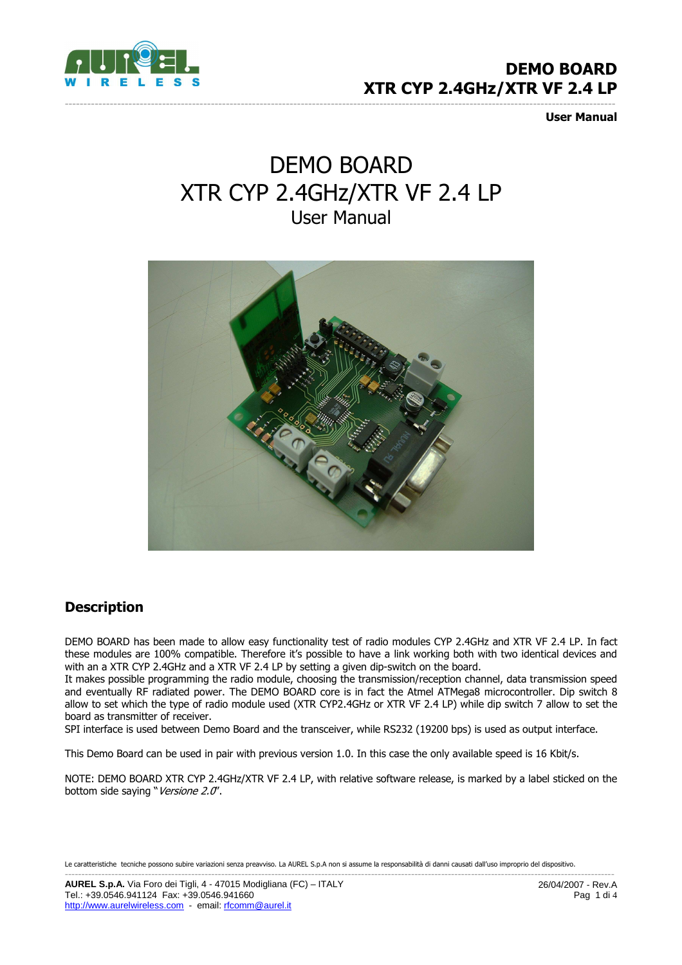

User Manual

# DEMO BOARD XTR CYP 2.4GHz/XTR VF 2.4 LP User Manual

---------------------------------------------------------------------------------------------------------------------------------------------------



### **Description**

DEMO BOARD has been made to allow easy functionality test of radio modules CYP 2.4GHz and XTR VF 2.4 LP. In fact these modules are 100% compatible. Therefore it's possible to have a link working both with two identical devices and with an a XTR CYP 2.4GHz and a XTR VF 2.4 LP by setting a given dip-switch on the board.

It makes possible programming the radio module, choosing the transmission/reception channel, data transmission speed and eventually RF radiated power. The DEMO BOARD core is in fact the Atmel ATMega8 microcontroller. Dip switch 8 allow to set which the type of radio module used (XTR CYP2.4GHz or XTR VF 2.4 LP) while dip switch 7 allow to set the board as transmitter of receiver.

SPI interface is used between Demo Board and the transceiver, while RS232 (19200 bps) is used as output interface.

This Demo Board can be used in pair with previous version 1.0. In this case the only available speed is 16 Kbit/s.

NOTE: DEMO BOARD XTR CYP 2.4GHz/XTR VF 2.4 LP, with relative software release, is marked by a label sticked on the bottom side saying "Versione 2.0".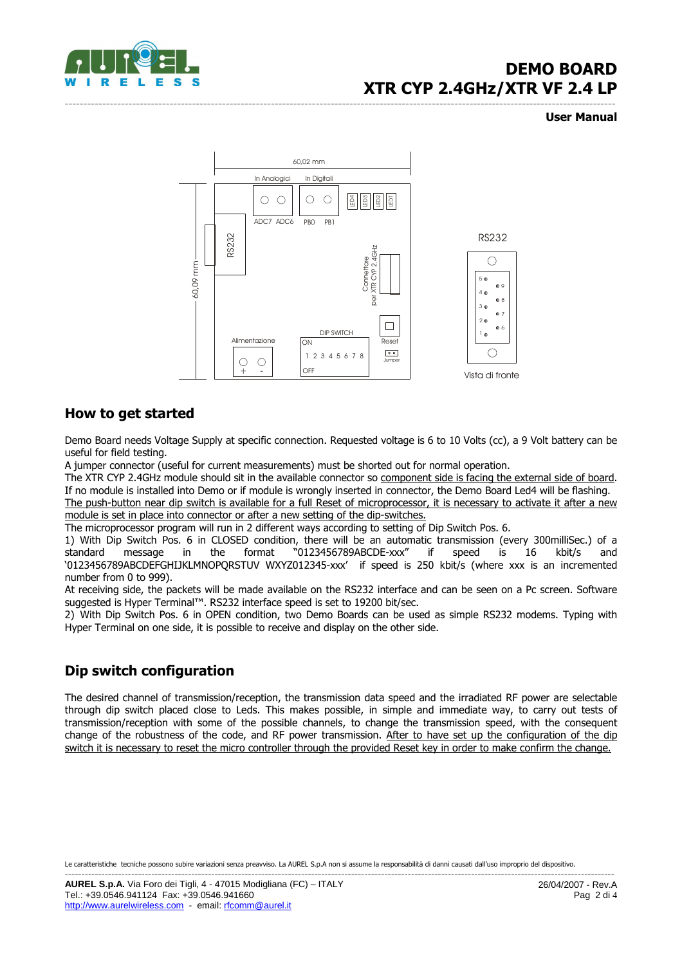

#### --------------------------------------------------------------------------------------------------------------------------------------------------- User Manual



#### How to get started

Demo Board needs Voltage Supply at specific connection. Requested voltage is 6 to 10 Volts (cc), a 9 Volt battery can be useful for field testing.

A jumper connector (useful for current measurements) must be shorted out for normal operation.

The XTR CYP 2.4GHz module should sit in the available connector so component side is facing the external side of board. If no module is installed into Demo or if module is wrongly inserted in connector, the Demo Board Led4 will be flashing.

The push-button near dip switch is available for a full Reset of microprocessor, it is necessary to activate it after a new module is set in place into connector or after a new setting of the dip-switches.

The microprocessor program will run in 2 different ways according to setting of Dip Switch Pos. 6.

1) With Dip Switch Pos. 6 in CLOSED condition, there will be an automatic transmission (every 300milliSec.) of a standard message in the format "0123456789ABCDE-xxx" if speed is 16 kbit/s and '0123456789ABCDEFGHIJKLMNOPQRSTUV WXYZ012345-xxx' if speed is 250 kbit/s (where xxx is an incremented number from 0 to 999).

At receiving side, the packets will be made available on the RS232 interface and can be seen on a Pc screen. Software suggested is Hyper Terminal™. RS232 interface speed is set to 19200 bit/sec.

2) With Dip Switch Pos. 6 in OPEN condition, two Demo Boards can be used as simple RS232 modems. Typing with Hyper Terminal on one side, it is possible to receive and display on the other side.

### Dip switch configuration

The desired channel of transmission/reception, the transmission data speed and the irradiated RF power are selectable through dip switch placed close to Leds. This makes possible, in simple and immediate way, to carry out tests of transmission/reception with some of the possible channels, to change the transmission speed, with the consequent change of the robustness of the code, and RF power transmission. After to have set up the configuration of the dip switch it is necessary to reset the micro controller through the provided Reset key in order to make confirm the change.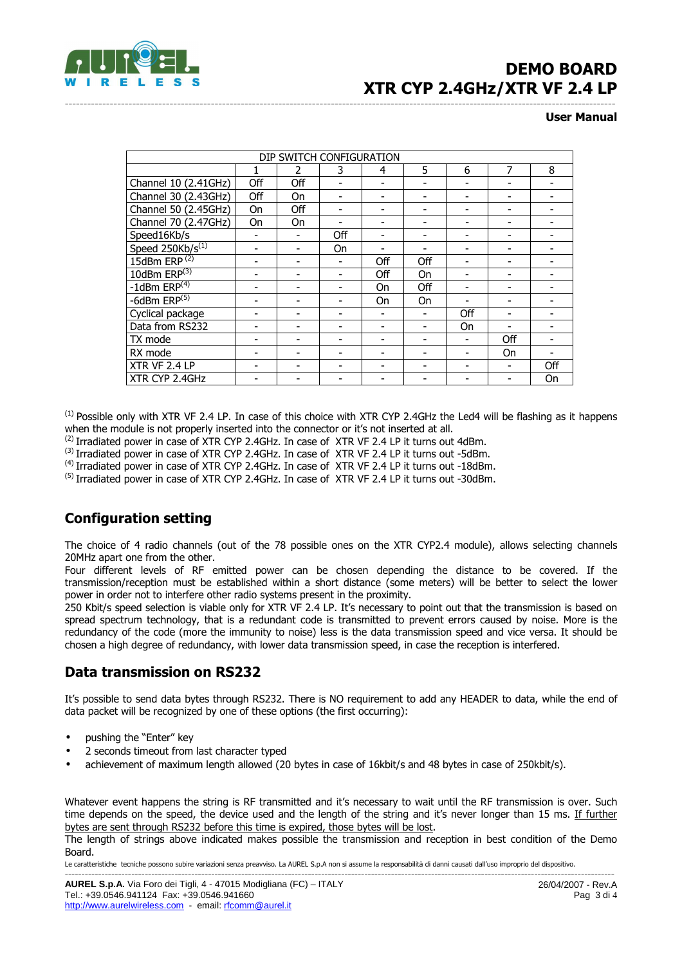

#### --------------------------------------------------------------------------------------------------------------------------------------------------- User Manual

| DIP SWITCH CONFIGURATION |     |               |     |     |           |     |     |     |  |  |
|--------------------------|-----|---------------|-----|-----|-----------|-----|-----|-----|--|--|
|                          | 1   | $\mathfrak z$ | 3   | 4   | 5         | 6   | 7   | 8   |  |  |
| Channel 10 (2.41GHz)     | Off | Off           |     |     |           |     |     |     |  |  |
| Channel 30 (2.43GHz)     | Off | On            |     |     |           |     |     |     |  |  |
| Channel 50 (2.45GHz)     | On  | Off           |     |     |           |     |     |     |  |  |
| Channel 70 (2.47GHz)     | On  | On            |     |     |           |     |     |     |  |  |
| Speed16Kb/s              |     |               | Off |     |           |     |     |     |  |  |
| Speed $250kb/s^{(1)}$    |     |               | On  |     |           |     |     |     |  |  |
| 15dBm ERP $(2)$          |     |               |     | Off | Off       |     |     |     |  |  |
| 10dBm $ERP^{(3)}$        |     |               |     | Off | On        |     |     |     |  |  |
| $-1$ dBm ERP $(4)$       |     |               |     | On  | Off       |     |     |     |  |  |
| -6dBm $ERP(5)$           |     |               |     | On  | <b>On</b> |     |     |     |  |  |
| Cyclical package         |     |               |     |     |           | Off |     |     |  |  |
| Data from RS232          |     |               |     |     |           | 0n  |     |     |  |  |
| TX mode                  |     |               |     |     |           |     | Off |     |  |  |
| RX mode                  |     |               |     |     |           |     | On  |     |  |  |
| XTR VF 2.4 LP            |     |               |     |     |           |     |     | Off |  |  |
| XTR CYP 2.4GHz           |     |               |     |     |           |     |     | On  |  |  |

 $<sup>(1)</sup>$  Possible only with XTR VF 2.4 LP. In case of this choice with XTR CYP 2.4GHz the Led4 will be flashing as it happens</sup> when the module is not properly inserted into the connector or it's not inserted at all.

(2) Irradiated power in case of XTR CYP 2.4GHz. In case of XTR VF 2.4 LP it turns out 4dBm.

(3) Irradiated power in case of XTR CYP 2.4GHz. In case of XTR VF 2.4 LP it turns out -5dBm.

(4) Irradiated power in case of XTR CYP 2.4GHz. In case of XTR VF 2.4 LP it turns out -18dBm.

<sup>(5)</sup> Irradiated power in case of XTR CYP 2.4GHz. In case of XTR VF 2.4 LP it turns out -30dBm.

### Configuration setting

The choice of 4 radio channels (out of the 78 possible ones on the XTR CYP2.4 module), allows selecting channels 20MHz apart one from the other.

Four different levels of RF emitted power can be chosen depending the distance to be covered. If the transmission/reception must be established within a short distance (some meters) will be better to select the lower power in order not to interfere other radio systems present in the proximity.

250 Kbit/s speed selection is viable only for XTR VF 2.4 LP. It's necessary to point out that the transmission is based on spread spectrum technology, that is a redundant code is transmitted to prevent errors caused by noise. More is the redundancy of the code (more the immunity to noise) less is the data transmission speed and vice versa. It should be chosen a high degree of redundancy, with lower data transmission speed, in case the reception is interfered.

#### Data transmission on RS232

It's possible to send data bytes through RS232. There is NO requirement to add any HEADER to data, while the end of data packet will be recognized by one of these options (the first occurring):

- pushing the "Enter" key
- 2 seconds timeout from last character typed
- achievement of maximum length allowed (20 bytes in case of 16kbit/s and 48 bytes in case of 250kbit/s).

Whatever event happens the string is RF transmitted and it's necessary to wait until the RF transmission is over. Such time depends on the speed, the device used and the length of the string and it's never longer than 15 ms. If further bytes are sent through RS232 before this time is expired, those bytes will be lost.

The length of strings above indicated makes possible the transmission and reception in best condition of the Demo Board.